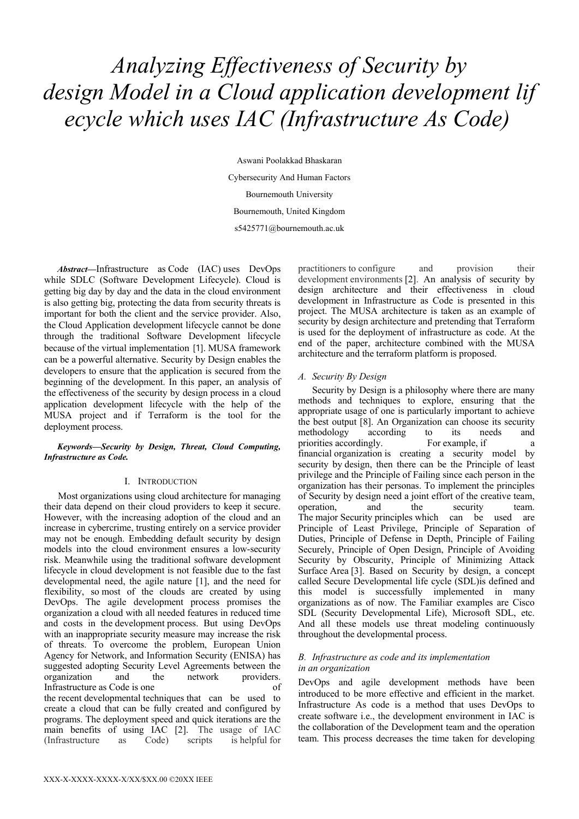# *Analyzing Effectiveness of Security by design Model in a Cloud application development lif ecycle which uses IAC (Infrastructure As Code)*

Aswani Poolakkad Bhaskaran Cybersecurity And Human Factors Bournemouth University Bournemouth, United Kingdom s5425771@bournemouth.ac.uk

*Abstract***—**Infrastructure as Code (IAC) uses DevOps while SDLC (Software Development Lifecycle). Cloud is getting big day by day and the data in the cloud environment is also getting big, protecting the data from security threats is important for both the client and the service provider. Also, the Cloud Application development lifecycle cannot be done through the traditional Software Development lifecycle because of the virtual implementation [1]. MUSA framework can be a powerful alternative. Security by Design enables the developers to ensure that the application is secured from the beginning of the development. In this paper, an analysis of the effectiveness of the security by design process in a cloud application development lifecycle with the help of the MUSA project and if Terraform is the tool for the deployment process.

#### *Keywords—Security by Design, Threat, Cloud Computing, Infrastructure as Code.*

#### I. INTRODUCTION

Most organizations using cloud architecture for managing their data depend on their cloud providers to keep it secure. However, with the increasing adoption of the cloud and an increase in cybercrime, trusting entirely on a service provider may not be enough. Embedding default security by design models into the cloud environment ensures a low-security risk. Meanwhile using the traditional software development lifecycle in cloud development is not feasible due to the fast developmental need, the agile nature [1], and the need for flexibility, so most of the clouds are created by using DevOps. The agile development process promises the organization a cloud with all needed features in reduced time and costs in the development process. But using DevOps with an inappropriate security measure may increase the risk of threats. To overcome the problem, European Union Agency for Network, and Information Security (ENISA) has suggested adopting Security Level Agreements between the organization and the network providers. Infrastructure as Code is one of the recent developmental techniques that can be used to create a cloud that can be fully created and configured by programs. The deployment speed and quick iterations are the main benefits of using IAC [2]. The usage of IAC (Infrastructure as Code) scripts is helpful for

practitioners to configure and provision their development environments [2]. An analysis of security by design architecture and their effectiveness in cloud development in Infrastructure as Code is presented in this project. The MUSA architecture is taken as an example of security by design architecture and pretending that Terraform is used for the deployment of infrastructure as code. At the end of the paper, architecture combined with the MUSA architecture and the terraform platform is proposed.

# *A. Security By Design*

Security by Design is a philosophy where there are many methods and techniques to explore, ensuring that the appropriate usage of one is particularly important to achieve the best output [8]. An Organization can choose its security methodology according to its needs and priorities accordingly. For example, if a financial organization is creating a security model by security by design, then there can be the Principle of least privilege and the Principle of Failing since each person in the organization has their personas. To implement the principles of Security by design need a joint effort of the creative team, operation, and the security team. The major Security principles which can be used are Principle of Least Privilege, Principle of Separation of Duties, Principle of Defense in Depth, Principle of Failing Securely, Principle of Open Design, Principle of Avoiding Security by Obscurity, Principle of Minimizing Attack Surface Area [3]. Based on Security by design, a concept called Secure Developmental life cycle (SDL)is defined and this model is successfully implemented in many organizations as of now. The Familiar examples are Cisco SDL (Security Developmental Life), Microsoft SDL, etc. And all these models use threat modeling continuously throughout the developmental process.

## *B. Infrastructure as code and its implementation in an organization*

DevOps and agile development methods have been introduced to be more effective and efficient in the market. Infrastructure As code is a method that uses DevOps to create software i.e., the development environment in IAC is the collaboration of the Development team and the operation team. This process decreases the time taken for developing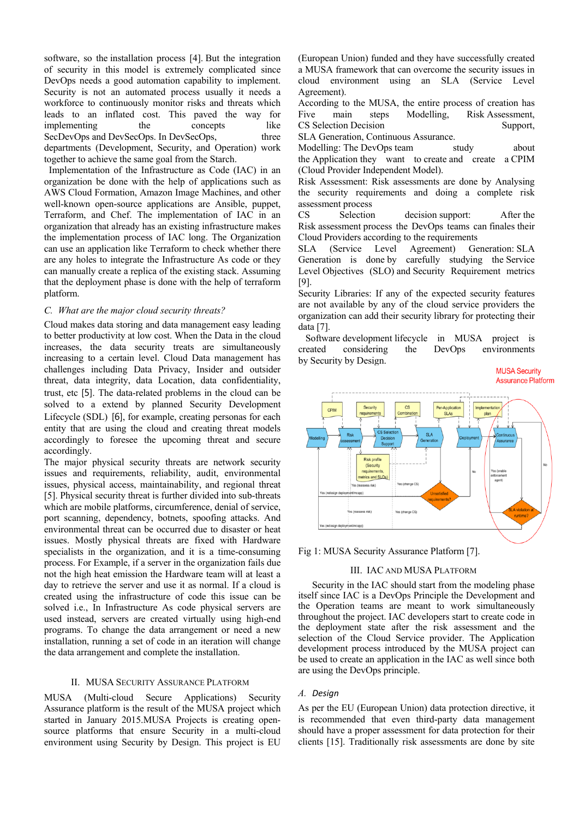software, so the installation process [4]. But the integration of security in this model is extremely complicated since DevOps needs a good automation capability to implement. Security is not an automated process usually it needs a workforce to continuously monitor risks and threats which leads to an inflated cost. This paved the way for implementing the concepts like SecDevOps and DevSecOps. In DevSecOps, three departments (Development, Security, and Operation) work together to achieve the same goal from the Starch.

 Implementation of the Infrastructure as Code (IAC) in an organization be done with the help of applications such as AWS Cloud Formation, Amazon Image Machines, and other well-known open-source applications are Ansible, puppet, Terraform, and Chef. The implementation of IAC in an organization that already has an existing infrastructure makes the implementation process of IAC long. The Organization can use an application like Terraform to check whether there are any holes to integrate the Infrastructure As code or they can manually create a replica of the existing stack. Assuming that the deployment phase is done with the help of terraform platform.

#### *C. What are the major cloud security threats?*

Cloud makes data storing and data management easy leading to better productivity at low cost. When the Data in the cloud increases, the data security treats are simultaneously increasing to a certain level. Cloud Data management has challenges including Data Privacy, Insider and outsider threat, data integrity, data Location, data confidentiality, trust, etc [5]. The data-related problems in the cloud can be solved to a extend by planned Security Development Lifecycle (SDL) [6], for example, creating personas for each entity that are using the cloud and creating threat models accordingly to foresee the upcoming threat and secure accordingly.

The major physical security threats are network security issues and requirements, reliability, audit, environmental issues, physical access, maintainability, and regional threat [5]. Physical security threat is further divided into sub-threats which are mobile platforms, circumference, denial of service, port scanning, dependency, botnets, spoofing attacks. And environmental threat can be occurred due to disaster or heat issues. Mostly physical threats are fixed with Hardware specialists in the organization, and it is a time-consuming process. For Example, if a server in the organization fails due not the high heat emission the Hardware team will at least a day to retrieve the server and use it as normal. If a cloud is created using the infrastructure of code this issue can be solved i.e., In Infrastructure As code physical servers are used instead, servers are created virtually using high-end programs. To change the data arrangement or need a new installation, running a set of code in an iteration will change the data arrangement and complete the installation.

#### II. MUSA SECURITY ASSURANCE PLATFORM

MUSA (Multi-cloud Secure Applications) Security Assurance platform is the result of the MUSA project which started in January 2015.MUSA Projects is creating opensource platforms that ensure Security in a multi-cloud environment using Security by Design. This project is EU

(European Union) funded and they have successfully created a MUSA framework that can overcome the security issues in cloud environment using an SLA (Service Level Agreement).

According to the MUSA, the entire process of creation has Five main steps Modelling, Risk Assessment, CS Selection Decision Support,

SLA Generation, Continuous Assurance.

Modelling: The DevOps team study about the Application they want to create and create a CPIM (Cloud Provider Independent Model).

Risk Assessment: Risk assessments are done by Analysing the security requirements and doing a complete risk assessment process

CS Selection decision support: After the Risk assessment process the DevOps teams can finales their Cloud Providers according to the requirements

SLA (Service Level Agreement) Generation: SLA Generation is done by carefully studying the Service Level Objectives (SLO) and Security Requirement metrics [9].

Security Libraries: If any of the expected security features are not available by any of the cloud service providers the organization can add their security library for protecting their data [7].

 Software development lifecycle in MUSA project is created considering the DevOps environments by Security by Design.

> **MUSA Security** Assurance Platform



Fig 1: MUSA Security Assurance Platform [7].

#### III. IAC AND MUSA PLATFORM

Security in the IAC should start from the modeling phase itself since IAC is a DevOps Principle the Development and the Operation teams are meant to work simultaneously throughout the project. IAC developers start to create code in the deployment state after the risk assessment and the selection of the Cloud Service provider. The Application development process introduced by the MUSA project can be used to create an application in the IAC as well since both are using the DevOps principle.

#### *A. Design*

As per the EU (European Union) data protection directive, it is recommended that even third-party data management should have a proper assessment for data protection for their clients [15]. Traditionally risk assessments are done by site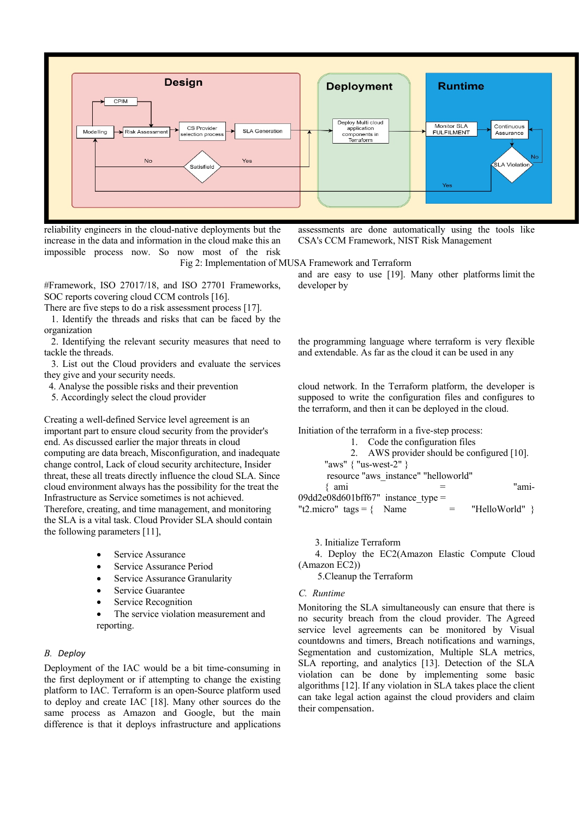

reliability engineers in the cloud-native deployments but the increase in the data and information in the cloud make this an impossible process now. So now most of the risk assessments are done automatically using the tools like CSA's CCM Framework, NIST Risk Management

#### Fig 2: Implementation of MUSA Framework and Terraform

#Framework, ISO 27017/18, and ISO 27701 Frameworks, SOC reports covering cloud CCM controls [16].

There are five steps to do a risk assessment process [17].

 1. Identify the threads and risks that can be faced by the organization

 2. Identifying the relevant security measures that need to tackle the threads.

 3. List out the Cloud providers and evaluate the services they give and your security needs.

4. Analyse the possible risks and their prevention

5. Accordingly select the cloud provider

Creating a well-defined Service level agreement is an important part to ensure cloud security from the provider's end. As discussed earlier the major threats in cloud computing are data breach, Misconfiguration, and inadequate change control, Lack of cloud security architecture, Insider threat, these all treats directly influence the cloud SLA. Since cloud environment always has the possibility for the treat the Infrastructure as Service sometimes is not achieved. Therefore, creating, and time management, and monitoring the SLA is a vital task. Cloud Provider SLA should contain the following parameters [11],

- Service Assurance
- Service Assurance Period
- Service Assurance Granularity
- Service Guarantee
- Service Recognition

The service violation measurement and reporting.

#### *B. Deploy*

Deployment of the IAC would be a bit time-consuming in the first deployment or if attempting to change the existing platform to IAC. Terraform is an open-Source platform used to deploy and create IAC [18]. Many other sources do the same process as Amazon and Google, but the main difference is that it deploys infrastructure and applications

and are easy to use [19]. Many other platforms limit the developer by

the programming language where terraform is very flexible and extendable. As far as the cloud it can be used in any

cloud network. In the Terraform platform, the developer is supposed to write the configuration files and configures to the terraform, and then it can be deployed in the cloud.

Initiation of the terraform in a five-step process:

|  | Code the configuration files |  |
|--|------------------------------|--|
|  |                              |  |

|                                      |  | 2. AWS provider should be configured [10]. |  |  |  |  |
|--------------------------------------|--|--------------------------------------------|--|--|--|--|
| "aws" $\{$ "us-west-2" $\}$          |  |                                            |  |  |  |  |
| resource "aws instance" "helloworld" |  |                                            |  |  |  |  |
| $\{$ ami                             |  | "ami-                                      |  |  |  |  |
| 09dd2e08d601bff67" instance type =   |  |                                            |  |  |  |  |
| "t2.micro" $\text{tags} = \{$ Name   |  | "HelloWorld" }                             |  |  |  |  |
|                                      |  |                                            |  |  |  |  |

## 3. Initialize Terraform

 4. Deploy the EC2(Amazon Elastic Compute Cloud (Amazon EC2))

5.Cleanup the Terraform

# *C. Runtime*

Monitoring the SLA simultaneously can ensure that there is no security breach from the cloud provider. The Agreed service level agreements can be monitored by Visual countdowns and timers, Breach notifications and warnings, Segmentation and customization, Multiple SLA metrics, SLA reporting, and analytics [13]. Detection of the SLA violation can be done by implementing some basic algorithms [12]. If any violation in SLA takes place the client can take legal action against the cloud providers and claim their compensation.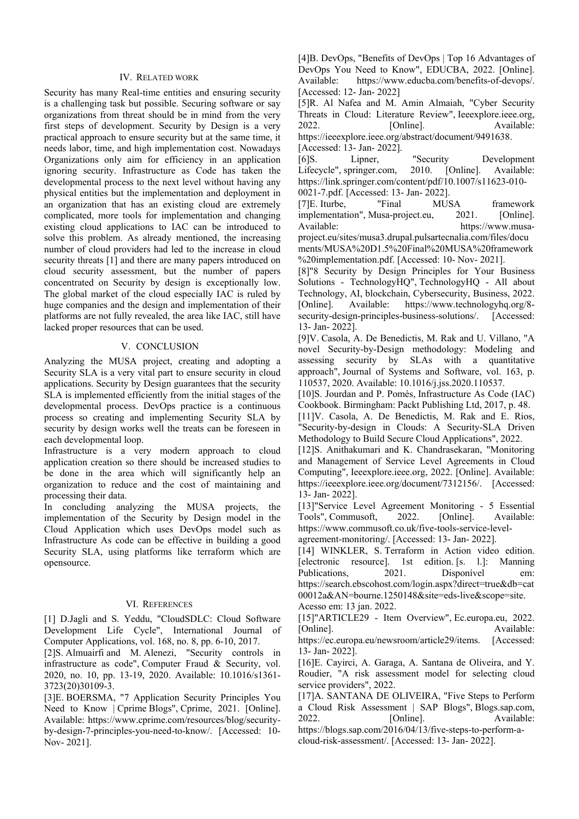#### IV. RELATED WORK

Security has many Real-time entities and ensuring security is a challenging task but possible. Securing software or say organizations from threat should be in mind from the very first steps of development. Security by Design is a very practical approach to ensure security but at the same time, it needs labor, time, and high implementation cost. Nowadays Organizations only aim for efficiency in an application ignoring security. Infrastructure as Code has taken the developmental process to the next level without having any physical entities but the implementation and deployment in an organization that has an existing cloud are extremely complicated, more tools for implementation and changing existing cloud applications to IAC can be introduced to solve this problem. As already mentioned, the increasing number of cloud providers had led to the increase in cloud security threats [1] and there are many papers introduced on cloud security assessment, but the number of papers concentrated on Security by design is exceptionally low. The global market of the cloud especially IAC is ruled by huge companies and the design and implementation of their platforms are not fully revealed, the area like IAC, still have lacked proper resources that can be used.

#### V. CONCLUSION

Analyzing the MUSA project, creating and adopting a Security SLA is a very vital part to ensure security in cloud applications. Security by Design guarantees that the security SLA is implemented efficiently from the initial stages of the developmental process. DevOps practice is a continuous process so creating and implementing Security SLA by security by design works well the treats can be foreseen in each developmental loop.

Infrastructure is a very modern approach to cloud application creation so there should be increased studies to be done in the area which will significantly help an organization to reduce and the cost of maintaining and processing their data.

In concluding analyzing the MUSA projects, the implementation of the Security by Design model in the Cloud Application which uses DevOps model such as Infrastructure As code can be effective in building a good Security SLA, using platforms like terraform which are opensource.

## VI. REFERENCES

[1] D.Jagli and S. Yeddu, "CloudSDLC: Cloud Software Development Life Cycle", International Journal of Computer Applications, vol. 168, no. 8, pp. 6-10, 2017.

[2]S. Almuairfi and M. Alenezi, "Security controls in infrastructure as code", Computer Fraud & Security, vol. 2020, no. 10, pp. 13-19, 2020. Available: 10.1016/s1361- 3723(20)30109-3.

[3]E. BOERSMA, "7 Application Security Principles You Need to Know | Cprime Blogs", Cprime, 2021. [Online]. Available: https://www.cprime.com/resources/blog/securityby-design-7-principles-you-need-to-know/. [Accessed: 10- Nov- 2021].

[4]B. DevOps, "Benefits of DevOps | Top 16 Advantages of DevOps You Need to Know", EDUCBA, 2022. [Online]. Available: https://www.educba.com/benefits-of-devops/. [Accessed: 12- Jan- 2022]

[5]R. Al Nafea and M. Amin Almaiah, "Cyber Security Threats in Cloud: Literature Review", Ieeexplore.ieee.org, 2022. [Online]. Available: https://ieeexplore.ieee.org/abstract/document/9491638. [Accessed: 13- Jan- 2022].

[6]S. Lipner, "Security Development Lifecycle", springer.com, 2010. [Online]. Available: https://link.springer.com/content/pdf/10.1007/s11623-010- 0021-7.pdf. [Accessed: 13- Jan- 2022].

[7]E. Iturbe, "Final MUSA framework implementation", Musa-project.eu, 2021. [Online]. Available: https://www.musaproject.eu/sites/musa3.drupal.pulsartecnalia.com/files/docu ments/MUSA%20D1.5%20Final%20MUSA%20framework %20implementation.pdf. [Accessed: 10- Nov- 2021].

[8]"8 Security by Design Principles for Your Business Solutions - TechnologyHQ", TechnologyHQ - All about Technology, AI, blockchain, Cybersecurity, Business, 2022. [Online]. Available: https://www.technologyhq.org/8 security-design-principles-business-solutions/. [Accessed: 13- Jan- 2022].

[9]V. Casola, A. De Benedictis, M. Rak and U. Villano, "A novel Security-by-Design methodology: Modeling and assessing security by SLAs with a quantitative approach", Journal of Systems and Software, vol. 163, p. 110537, 2020. Available: 10.1016/j.jss.2020.110537.

[10]S. Jourdan and P. Pomès, Infrastructure As Code (IAC) Cookbook. Birmingham: Packt Publishing Ltd, 2017, p. 48.

[11]V. Casola, A. De Benedictis, M. Rak and E. Rios, "Security-by-design in Clouds: A Security-SLA Driven Methodology to Build Secure Cloud Applications", 2022.

[12]S. Anithakumari and K. Chandrasekaran, "Monitoring and Management of Service Level Agreements in Cloud Computing", Ieeexplore.ieee.org, 2022. [Online]. Available: https://ieeexplore.ieee.org/document/7312156/. [Accessed: 13- Jan- 2022].

[13]"Service Level Agreement Monitoring - 5 Essential Tools", Commusoft, 2022. [Online]. Available: https://www.commusoft.co.uk/five-tools-service-levelagreement-monitoring/. [Accessed: 13- Jan- 2022].

[14] WINKLER, S. Terraform in Action video edition. [electronic resource]. 1st edition. [s. l.]: Manning Publications, 2021. Disponível em: https://search.ebscohost.com/login.aspx?direct=true&db=cat 00012a&AN=bourne.1250148&site=eds-live&scope=site. Acesso em: 13 jan. 2022.

[15]"ARTICLE29 - Item Overview", Ec.europa.eu, 2022. [Online]. Available: https://ec.europa.eu/newsroom/article29/items. [Accessed:

13- Jan- 2022]. [16]E. Cayirci, A. Garaga, A. Santana de Oliveira, and Y. Roudier, "A risk assessment model for selecting cloud

service providers", 2022. [17]A. SANTANA DE OLIVEIRA, "Five Steps to Perform a Cloud Risk Assessment | SAP Blogs", Blogs.sap.com, 2022. [Online]. Available:

https://blogs.sap.com/2016/04/13/five-steps-to-perform-acloud-risk-assessment/. [Accessed: 13- Jan- 2022].